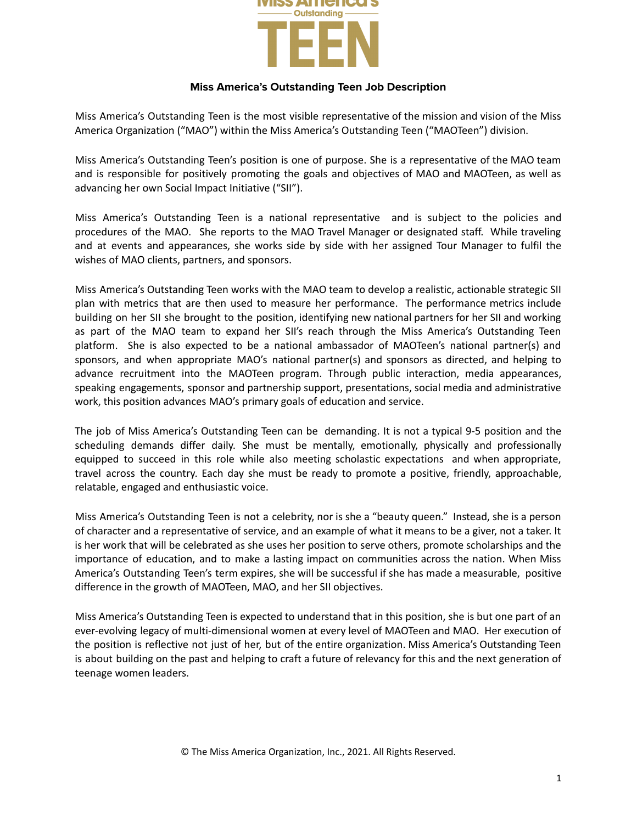

## **Miss America's Outstanding Teen Job Description**

Miss America's Outstanding Teen is the most visible representative of the mission and vision of the Miss America Organization ("MAO") within the Miss America's Outstanding Teen ("MAOTeen") division.

Miss America's Outstanding Teen's position is one of purpose. She is a representative of the MAO team and is responsible for positively promoting the goals and objectives of MAO and MAOTeen, as well as advancing her own Social Impact Initiative ("SII").

Miss America's Outstanding Teen is a national representative and is subject to the policies and procedures of the MAO. She reports to the MAO Travel Manager or designated staff. While traveling and at events and appearances, she works side by side with her assigned Tour Manager to fulfil the wishes of MAO clients, partners, and sponsors.

Miss America's Outstanding Teen works with the MAO team to develop a realistic, actionable strategic SII plan with metrics that are then used to measure her performance. The performance metrics include building on her SII she brought to the position, identifying new national partners for her SII and working as part of the MAO team to expand her SII's reach through the Miss America's Outstanding Teen platform. She is also expected to be a national ambassador of MAOTeen's national partner(s) and sponsors, and when appropriate MAO's national partner(s) and sponsors as directed, and helping to advance recruitment into the MAOTeen program. Through public interaction, media appearances, speaking engagements, sponsor and partnership support, presentations, social media and administrative work, this position advances MAO's primary goals of education and service.

The job of Miss America's Outstanding Teen can be demanding. It is not a typical 9-5 position and the scheduling demands differ daily. She must be mentally, emotionally, physically and professionally equipped to succeed in this role while also meeting scholastic expectations and when appropriate, travel across the country. Each day she must be ready to promote a positive, friendly, approachable, relatable, engaged and enthusiastic voice.

Miss America's Outstanding Teen is not a celebrity, nor is she a "beauty queen." Instead, she is a person of character and a representative of service, and an example of what it means to be a giver, not a taker. It is her work that will be celebrated as she uses her position to serve others, promote scholarships and the importance of education, and to make a lasting impact on communities across the nation. When Miss America's Outstanding Teen's term expires, she will be successful if she has made a measurable, positive difference in the growth of MAOTeen, MAO, and her SII objectives.

Miss America's Outstanding Teen is expected to understand that in this position, she is but one part of an ever-evolving legacy of multi-dimensional women at every level of MAOTeen and MAO. Her execution of the position is reflective not just of her, but of the entire organization. Miss America's Outstanding Teen is about building on the past and helping to craft a future of relevancy for this and the next generation of teenage women leaders.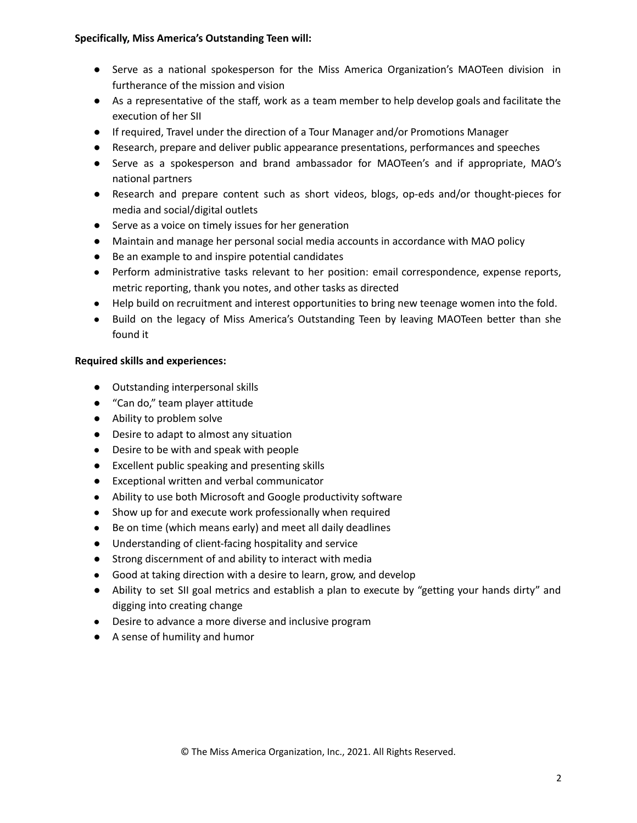- Serve as a national spokesperson for the Miss America Organization's MAOTeen division in furtherance of the mission and vision
- As a representative of the staff, work as a team member to help develop goals and facilitate the execution of her SII
- If required, Travel under the direction of a Tour Manager and/or Promotions Manager
- Research, prepare and deliver public appearance presentations, performances and speeches
- Serve as a spokesperson and brand ambassador for MAOTeen's and if appropriate, MAO's national partners
- Research and prepare content such as short videos, blogs, op-eds and/or thought-pieces for media and social/digital outlets
- Serve as a voice on timely issues for her generation
- Maintain and manage her personal social media accounts in accordance with MAO policy
- Be an example to and inspire potential candidates
- Perform administrative tasks relevant to her position: email correspondence, expense reports, metric reporting, thank you notes, and other tasks as directed
- Help build on recruitment and interest opportunities to bring new teenage women into the fold.
- Build on the legacy of Miss America's Outstanding Teen by leaving MAOTeen better than she found it

## **Required skills and experiences:**

- Outstanding interpersonal skills
- "Can do," team player attitude
- Ability to problem solve
- Desire to adapt to almost any situation
- Desire to be with and speak with people
- Excellent public speaking and presenting skills
- Exceptional written and verbal communicator
- Ability to use both Microsoft and Google productivity software
- Show up for and execute work professionally when required
- Be on time (which means early) and meet all daily deadlines
- Understanding of client-facing hospitality and service
- Strong discernment of and ability to interact with media
- Good at taking direction with a desire to learn, grow, and develop
- Ability to set SII goal metrics and establish a plan to execute by "getting your hands dirty" and digging into creating change
- Desire to advance a more diverse and inclusive program
- A sense of humility and humor